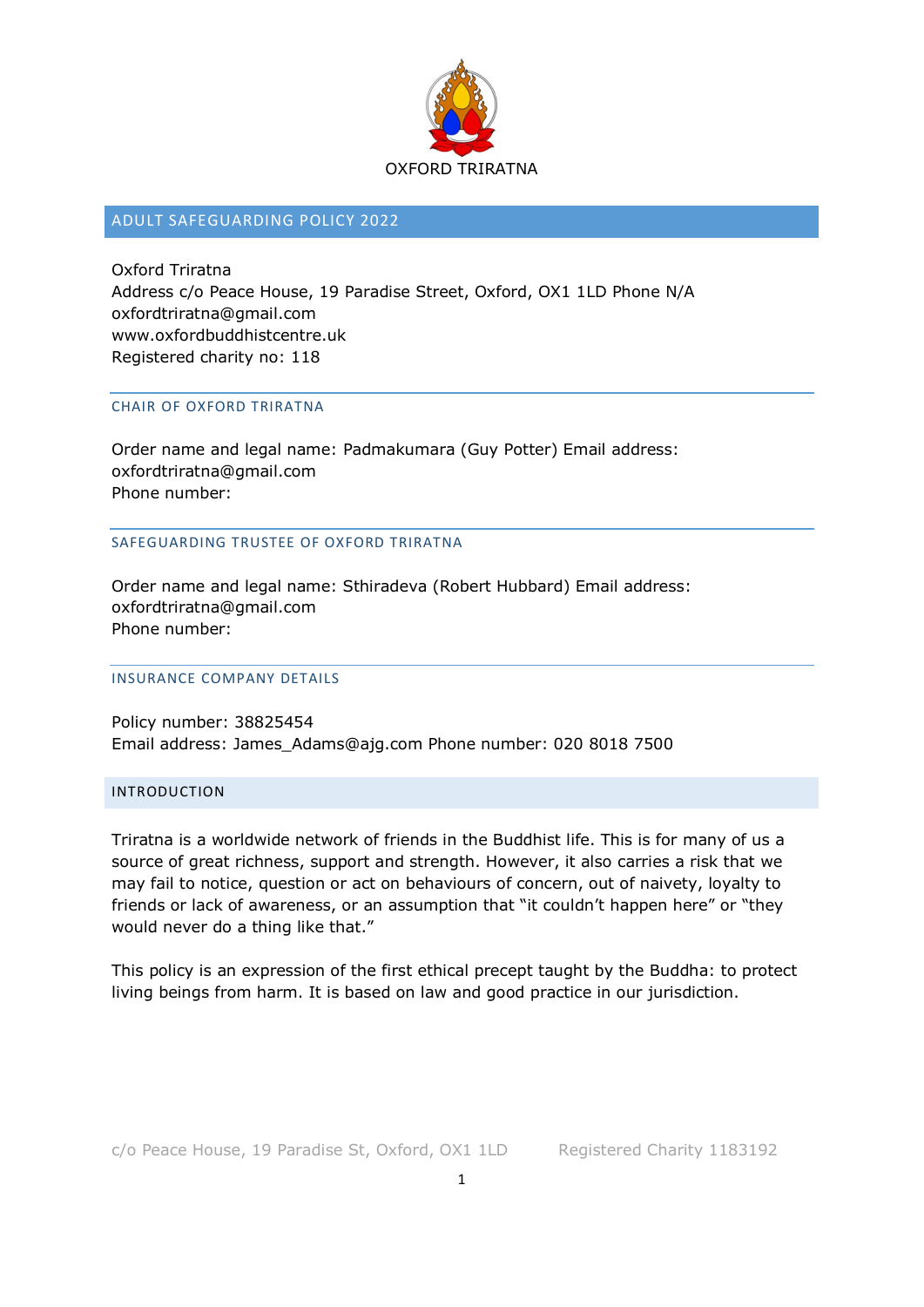

# ADULT SAFEGUARDING POLICY 2022

Oxford Triratna Address c/o Peace House, 19 Paradise Street, Oxford, OX1 1LD Phone N/A oxfordtriratna@gmail.com www.oxfordbuddhistcentre.uk Registered charity no: 118

#### CHAIR OF OXFORD TRIRATNA

Order name and legal name: Padmakumara (Guy Potter) Email address: oxfordtriratna@gmail.com Phone number:

SAFEGUARDING TRUSTEE OF OXFORD TRIRATNA

Order name and legal name: Sthiradeva (Robert Hubbard) Email address: oxfordtriratna@gmail.com Phone number:

#### INSURANCE COMPANY DETAILS

Policy number: 38825454 Email address: James\_Adams@ajg.com Phone number: 020 8018 7500

## INTRODUCTION

Triratna is a worldwide network of friends in the Buddhist life. This is for many of us a source of great richness, support and strength. However, it also carries a risk that we may fail to notice, question or act on behaviours of concern, out of naivety, loyalty to friends or lack of awareness, or an assumption that "it couldn't happen here" or "they would never do a thing like that."

This policy is an expression of the first ethical precept taught by the Buddha: to protect living beings from harm. It is based on law and good practice in our jurisdiction.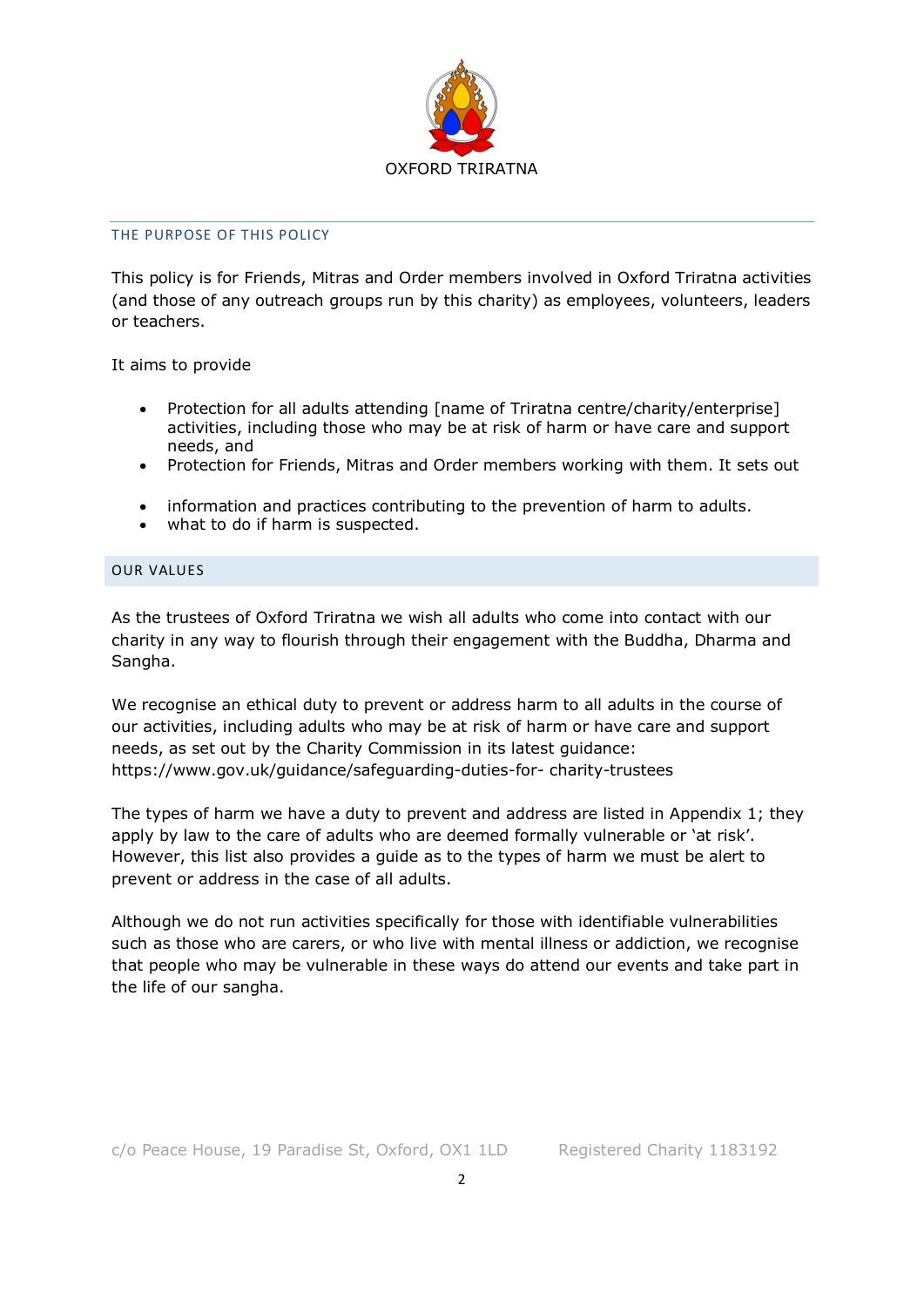

#### THE PURPOSE OF THIS POLICY

This policy is for Friends, Mitras and Order members involved in Oxford Triratna activities (and those of any outreach groups run by this charity) as employees, volunteers, leaders or teachers.

It aims to provide

- Protection for all adults attending [name of Triratna centre/charity/enterprise] activities, including those who may be at risk of harm or have care and support needs, and
- Protection for Friends, Mitras and Order members working with them. It sets out
- information and practices contributing to the prevention of harm to adults.
- what to do if harm is suspected.

## OUR VALUES

As the trustees of Oxford Triratna we wish all adults who come into contact with our charity in any way to flourish through their engagement with the Buddha, Dharma and Sangha.

We recognise an ethical duty to prevent or address harm to all adults in the course of our activities, including adults who may be at risk of harm or have care and support needs, as set out by the Charity Commission in its latest guidance: https://www.gov.uk/guidance/safeguarding-duties-for- charity-trustees

The types of harm we have a duty to prevent and address are listed in Appendix 1; they apply by law to the care of adults who are deemed formally vulnerable or 'at risk'. However, this list also provides a guide as to the types of harm we must be alert to prevent or address in the case of all adults.

Although we do not run activities specifically for those with identifiable vulnerabilities such as those who are carers, or who live with mental illness or addiction, we recognise that people who may be vulnerable in these ways do attend our events and take part in the life of our sangha.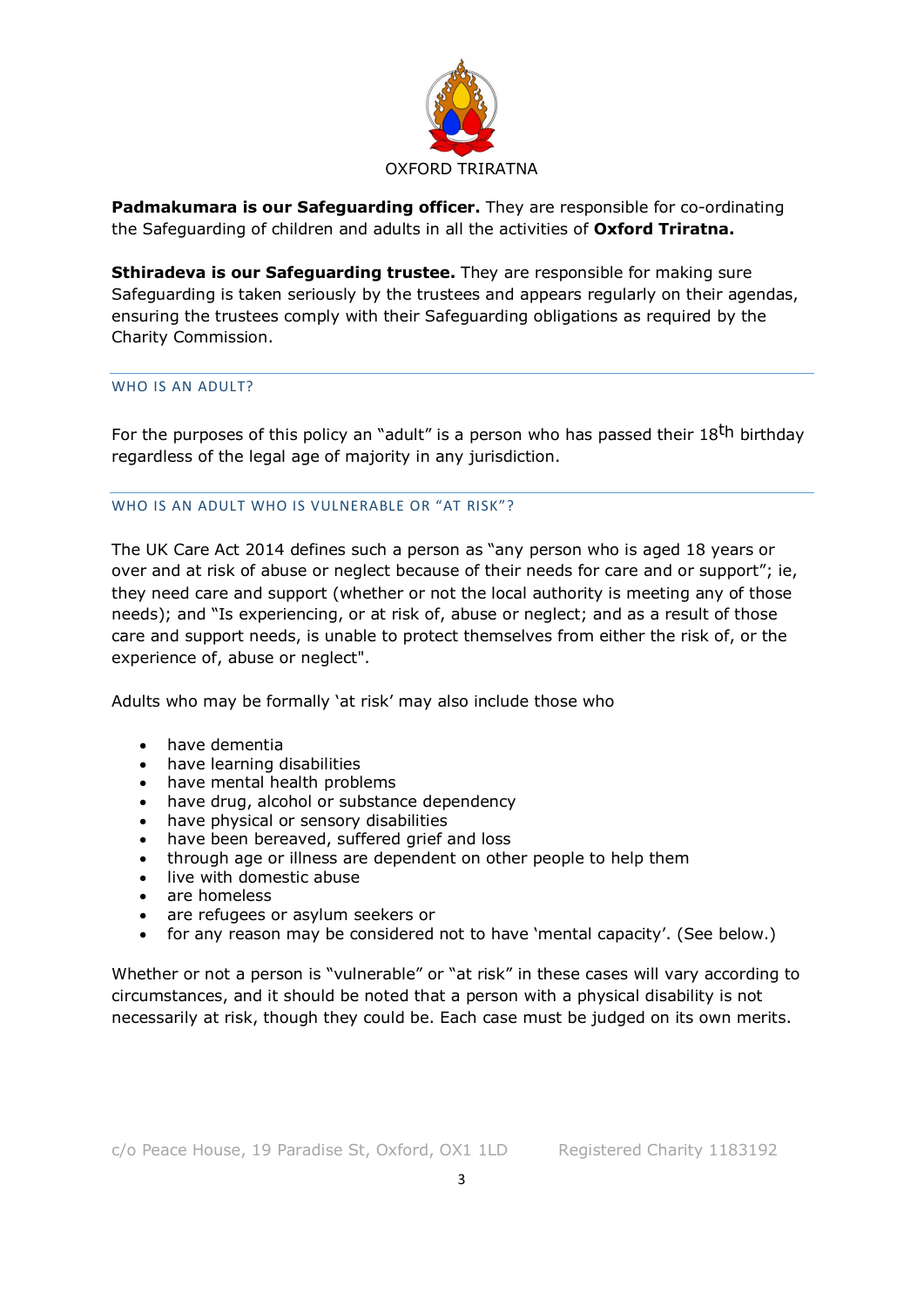

**Padmakumara is our Safeguarding officer.** They are responsible for co-ordinating the Safeguarding of children and adults in all the activities of **Oxford Triratna.** 

**Sthiradeva is our Safeguarding trustee.** They are responsible for making sure Safeguarding is taken seriously by the trustees and appears regularly on their agendas, ensuring the trustees comply with their Safeguarding obligations as required by the Charity Commission.

#### WHO IS AN ADULT?

For the purposes of this policy an "adult" is a person who has passed their 18<sup>th</sup> birthday regardless of the legal age of majority in any jurisdiction.

#### WHO IS AN ADULT WHO IS VULNERABLE OR "AT RISK"?

The UK Care Act 2014 defines such a person as "any person who is aged 18 years or over and at risk of abuse or neglect because of their needs for care and or support"; ie, they need care and support (whether or not the local authority is meeting any of those needs); and "Is experiencing, or at risk of, abuse or neglect; and as a result of those care and support needs, is unable to protect themselves from either the risk of, or the experience of, abuse or neglect".

Adults who may be formally 'at risk' may also include those who

- have dementia
- have learning disabilities
- have mental health problems
- have drug, alcohol or substance dependency
- have physical or sensory disabilities
- have been bereaved, suffered grief and loss
- through age or illness are dependent on other people to help them
- live with domestic abuse
- are homeless
- are refugees or asylum seekers or
- for any reason may be considered not to have 'mental capacity'. (See below.)

Whether or not a person is "vulnerable" or "at risk" in these cases will vary according to circumstances, and it should be noted that a person with a physical disability is not necessarily at risk, though they could be. Each case must be judged on its own merits.

3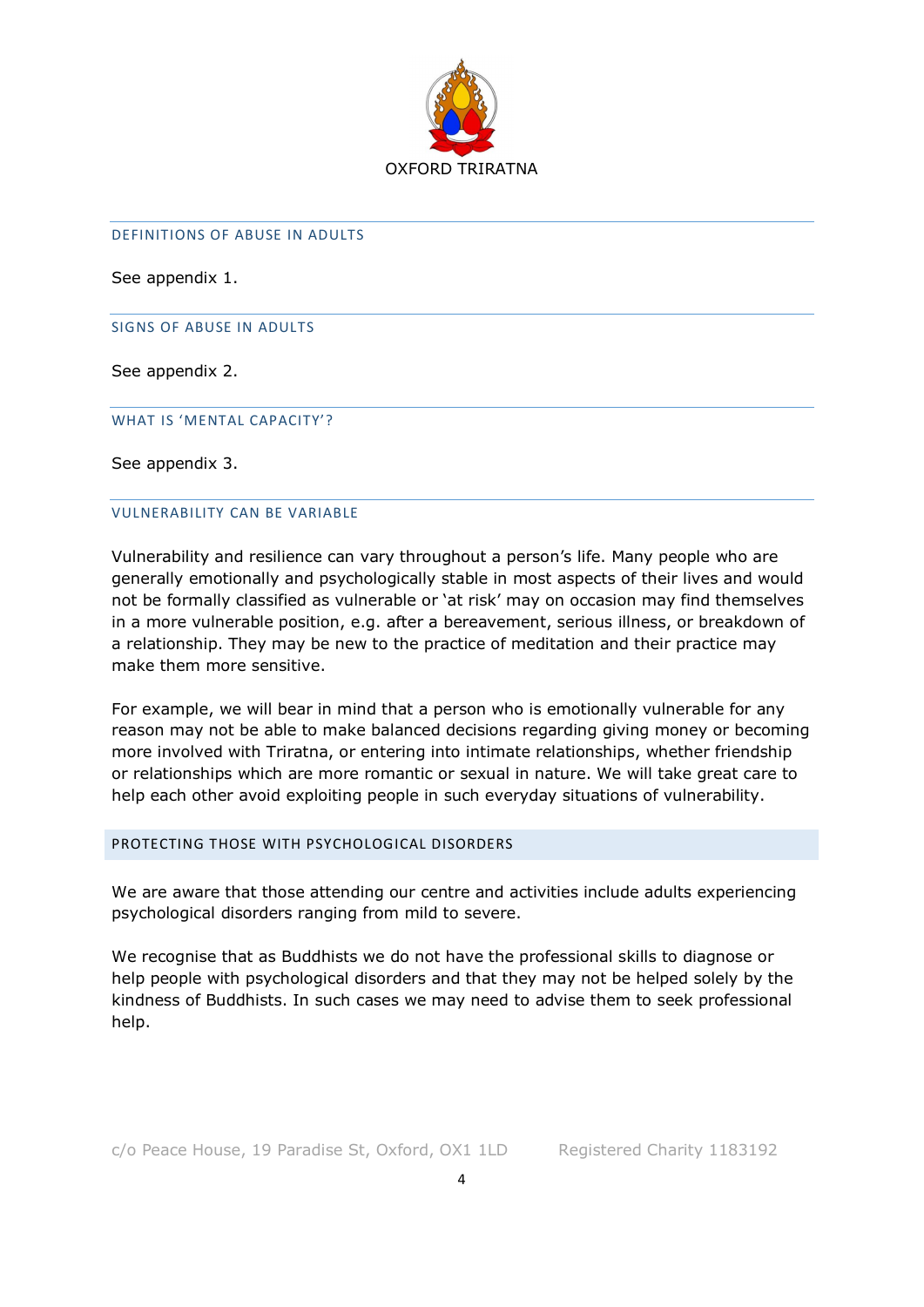

#### DEFINITIONS OF ABUSE IN ADULTS

See appendix 1.

SIGNS OF ABUSE IN ADULTS

See appendix 2.

WHAT IS 'MENTAL CAPACITY'?

See appendix 3.

#### VULNERABILITY CAN BE VARIABLE

Vulnerability and resilience can vary throughout a person's life. Many people who are generally emotionally and psychologically stable in most aspects of their lives and would not be formally classified as vulnerable or 'at risk' may on occasion may find themselves in a more vulnerable position, e.g. after a bereavement, serious illness, or breakdown of a relationship. They may be new to the practice of meditation and their practice may make them more sensitive.

For example, we will bear in mind that a person who is emotionally vulnerable for any reason may not be able to make balanced decisions regarding giving money or becoming more involved with Triratna, or entering into intimate relationships, whether friendship or relationships which are more romantic or sexual in nature. We will take great care to help each other avoid exploiting people in such everyday situations of vulnerability.

## PROTECTING THOSE WITH PSYCHOLOGICAL DISORDERS

We are aware that those attending our centre and activities include adults experiencing psychological disorders ranging from mild to severe.

We recognise that as Buddhists we do not have the professional skills to diagnose or help people with psychological disorders and that they may not be helped solely by the kindness of Buddhists. In such cases we may need to advise them to seek professional help.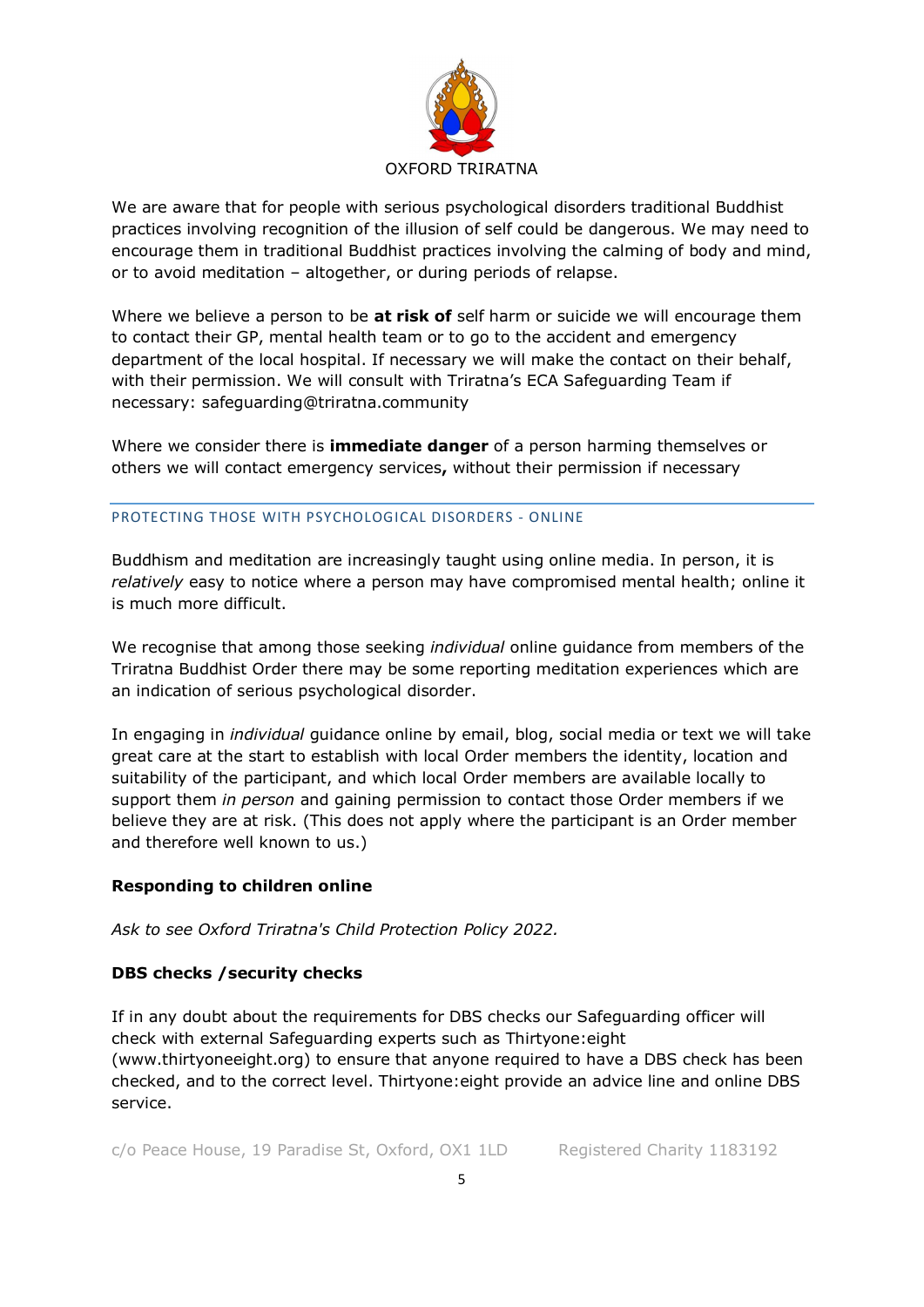

We are aware that for people with serious psychological disorders traditional Buddhist practices involving recognition of the illusion of self could be dangerous. We may need to encourage them in traditional Buddhist practices involving the calming of body and mind, or to avoid meditation – altogether, or during periods of relapse.

Where we believe a person to be **at risk of** self harm or suicide we will encourage them to contact their GP, mental health team or to go to the accident and emergency department of the local hospital. If necessary we will make the contact on their behalf, with their permission. We will consult with Triratna's ECA Safeguarding Team if necessary: safeguarding@triratna.community

Where we consider there is **immediate danger** of a person harming themselves or others we will contact emergency services**,** without their permission if necessary

## PROTECTING THOSE WITH PSYCHOLOGICAL DISORDERS - ONLINE

Buddhism and meditation are increasingly taught using online media. In person, it is *relatively* easy to notice where a person may have compromised mental health; online it is much more difficult.

We recognise that among those seeking *individual* online guidance from members of the Triratna Buddhist Order there may be some reporting meditation experiences which are an indication of serious psychological disorder.

In engaging in *individual* guidance online by email, blog, social media or text we will take great care at the start to establish with local Order members the identity, location and suitability of the participant, and which local Order members are available locally to support them *in person* and gaining permission to contact those Order members if we believe they are at risk. (This does not apply where the participant is an Order member and therefore well known to us.)

# **Responding to children online**

*Ask to see Oxford Triratna's Child Protection Policy 2022.* 

# **DBS checks /security checks**

If in any doubt about the requirements for DBS checks our Safeguarding officer will check with external Safeguarding experts such as Thirtyone:eight (www.thirtyoneeight.org) to ensure that anyone required to have a DBS check has been checked, and to the correct level. Thirtyone:eight provide an advice line and online DBS service.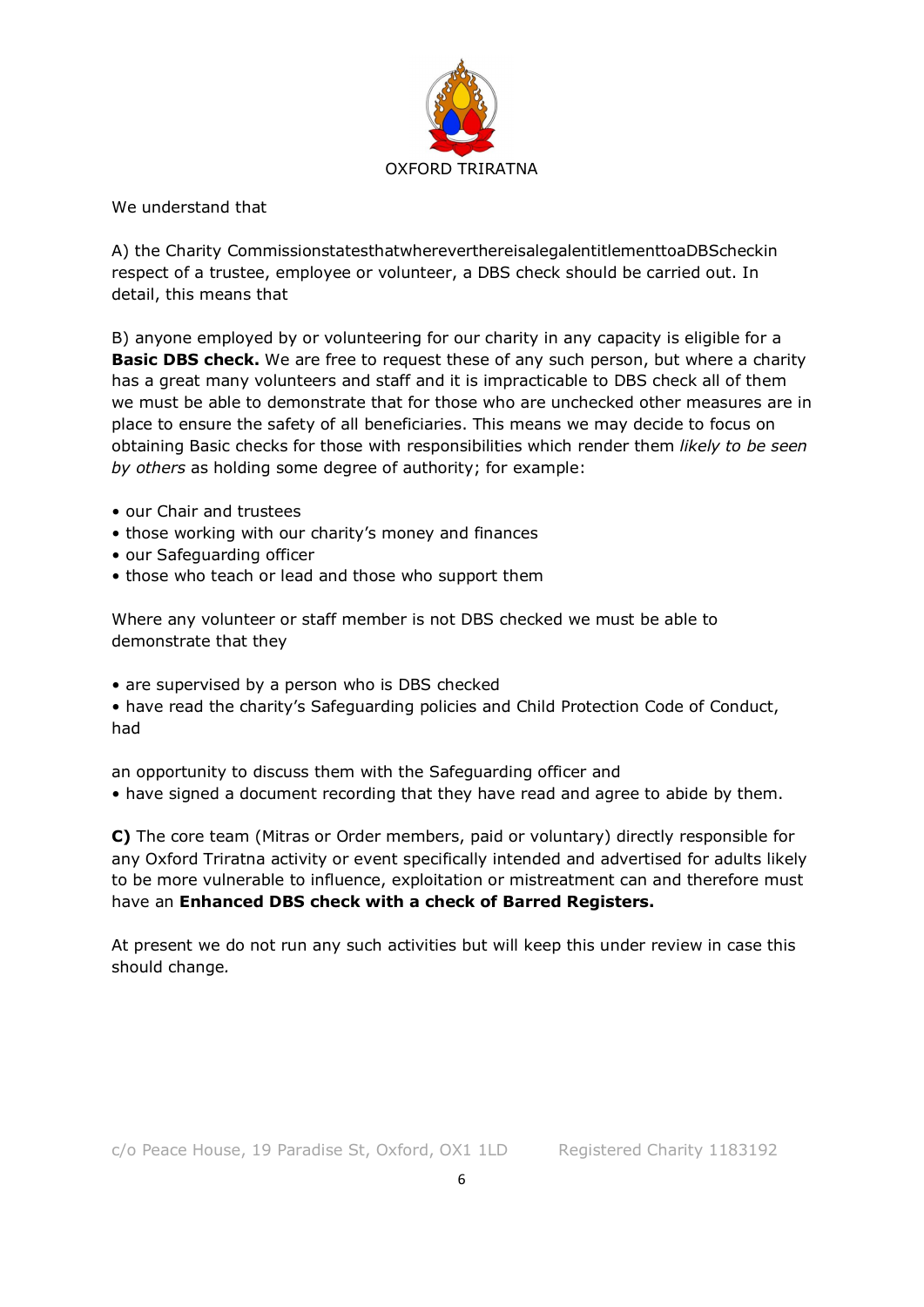

We understand that

A) the Charity CommissionstatesthatwhereverthereisalegalentitlementtoaDBScheckin respect of a trustee, employee or volunteer, a DBS check should be carried out. In detail, this means that

B) anyone employed by or volunteering for our charity in any capacity is eligible for a **Basic DBS check.** We are free to request these of any such person, but where a charity has a great many volunteers and staff and it is impracticable to DBS check all of them we must be able to demonstrate that for those who are unchecked other measures are in place to ensure the safety of all beneficiaries. This means we may decide to focus on obtaining Basic checks for those with responsibilities which render them *likely to be seen by others* as holding some degree of authority; for example:

- our Chair and trustees
- those working with our charity's money and finances
- our Safeguarding officer
- those who teach or lead and those who support them

Where any volunteer or staff member is not DBS checked we must be able to demonstrate that they

• are supervised by a person who is DBS checked

• have read the charity's Safeguarding policies and Child Protection Code of Conduct, had

an opportunity to discuss them with the Safeguarding officer and

• have signed a document recording that they have read and agree to abide by them.

**C)** The core team (Mitras or Order members, paid or voluntary) directly responsible for any Oxford Triratna activity or event specifically intended and advertised for adults likely to be more vulnerable to influence, exploitation or mistreatment can and therefore must have an **Enhanced DBS check with a check of Barred Registers.** 

At present we do not run any such activities but will keep this under review in case this should change*.*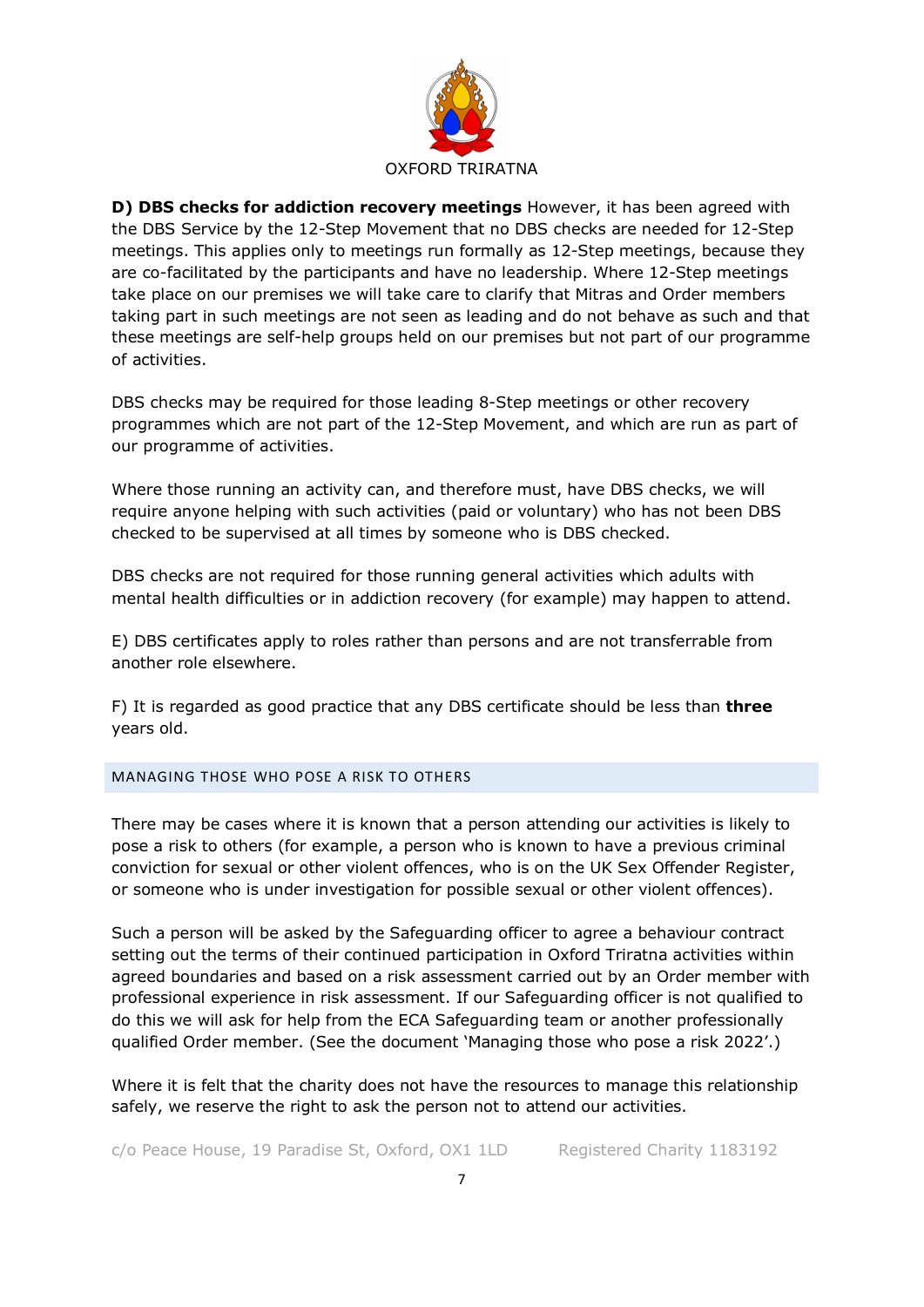

**D) DBS checks for addiction recovery meetings** However, it has been agreed with the DBS Service by the 12-Step Movement that no DBS checks are needed for 12-Step meetings. This applies only to meetings run formally as 12-Step meetings, because they are co-facilitated by the participants and have no leadership. Where 12-Step meetings take place on our premises we will take care to clarify that Mitras and Order members taking part in such meetings are not seen as leading and do not behave as such and that these meetings are self-help groups held on our premises but not part of our programme of activities.

DBS checks may be required for those leading 8-Step meetings or other recovery programmes which are not part of the 12-Step Movement, and which are run as part of our programme of activities.

Where those running an activity can, and therefore must, have DBS checks, we will require anyone helping with such activities (paid or voluntary) who has not been DBS checked to be supervised at all times by someone who is DBS checked.

DBS checks are not required for those running general activities which adults with mental health difficulties or in addiction recovery (for example) may happen to attend.

E) DBS certificates apply to roles rather than persons and are not transferrable from another role elsewhere.

F) It is regarded as good practice that any DBS certificate should be less than **three**  years old.

## MANAGING THOSE WHO POSE A RISK TO OTHERS

There may be cases where it is known that a person attending our activities is likely to pose a risk to others (for example, a person who is known to have a previous criminal conviction for sexual or other violent offences, who is on the UK Sex Offender Register, or someone who is under investigation for possible sexual or other violent offences).

Such a person will be asked by the Safeguarding officer to agree a behaviour contract setting out the terms of their continued participation in Oxford Triratna activities within agreed boundaries and based on a risk assessment carried out by an Order member with professional experience in risk assessment. If our Safeguarding officer is not qualified to do this we will ask for help from the ECA Safeguarding team or another professionally qualified Order member. (See the document 'Managing those who pose a risk 2022'.)

Where it is felt that the charity does not have the resources to manage this relationship safely, we reserve the right to ask the person not to attend our activities.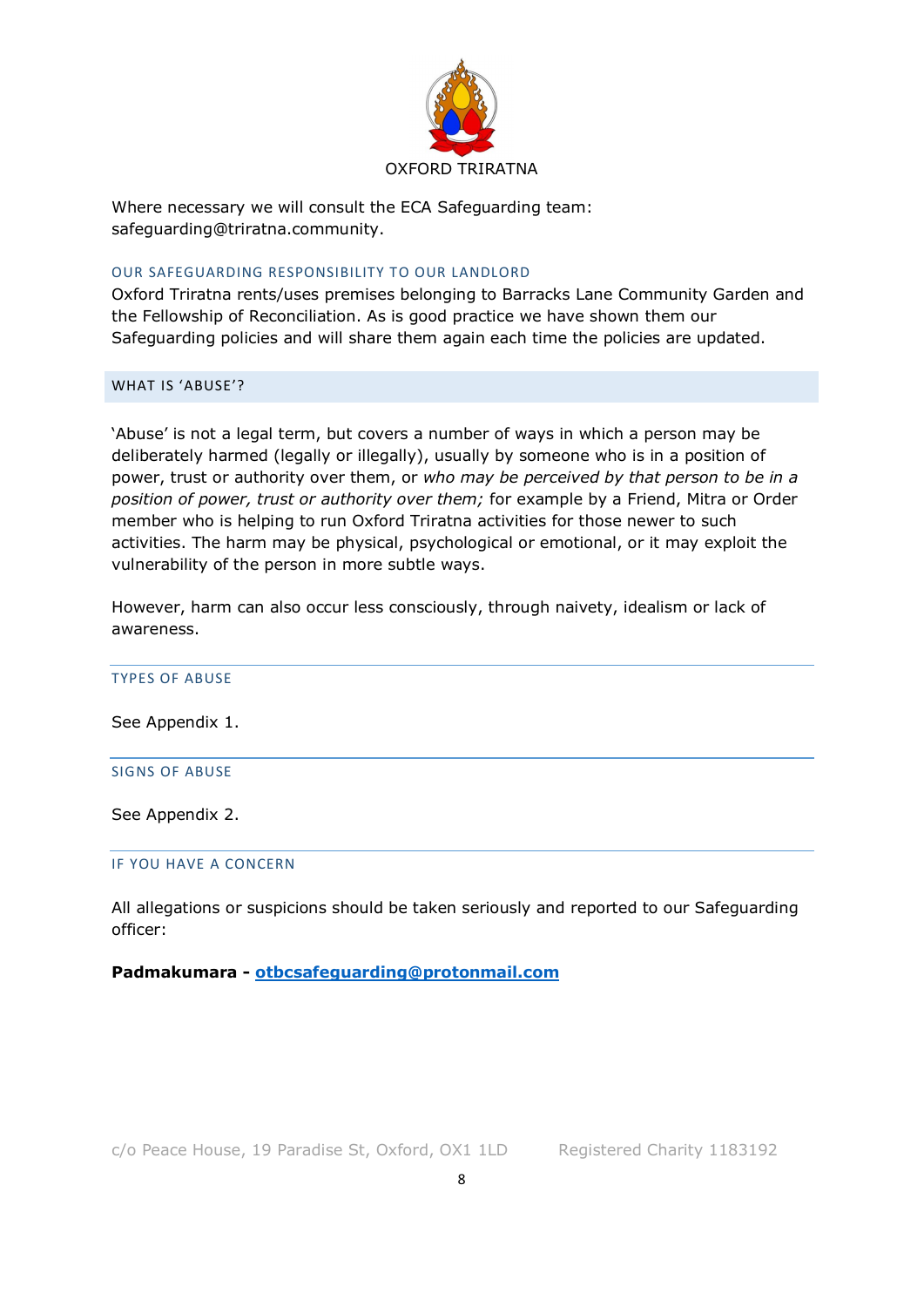

Where necessary we will consult the ECA Safeguarding team: safeguarding@triratna.community.

#### OUR SAFEGUARDING RESPONSIBILITY TO OUR LANDLORD

Oxford Triratna rents/uses premises belonging to Barracks Lane Community Garden and the Fellowship of Reconciliation. As is good practice we have shown them our Safeguarding policies and will share them again each time the policies are updated.

## WHAT IS 'ABUSE'?

'Abuse' is not a legal term, but covers a number of ways in which a person may be deliberately harmed (legally or illegally), usually by someone who is in a position of power, trust or authority over them, or *who may be perceived by that person to be in a position of power, trust or authority over them;* for example by a Friend, Mitra or Order member who is helping to run Oxford Triratna activities for those newer to such activities. The harm may be physical, psychological or emotional, or it may exploit the vulnerability of the person in more subtle ways.

However, harm can also occur less consciously, through naivety, idealism or lack of awareness.

TYPES OF ABUSE

See Appendix 1.

#### SIGNS OF ABUSE

See Appendix 2.

#### IF YOU HAVE A CONCERN

All allegations or suspicions should be taken seriously and reported to our Safeguarding officer:

## **Padmakumara - otbcsafeguarding@protonmail.com**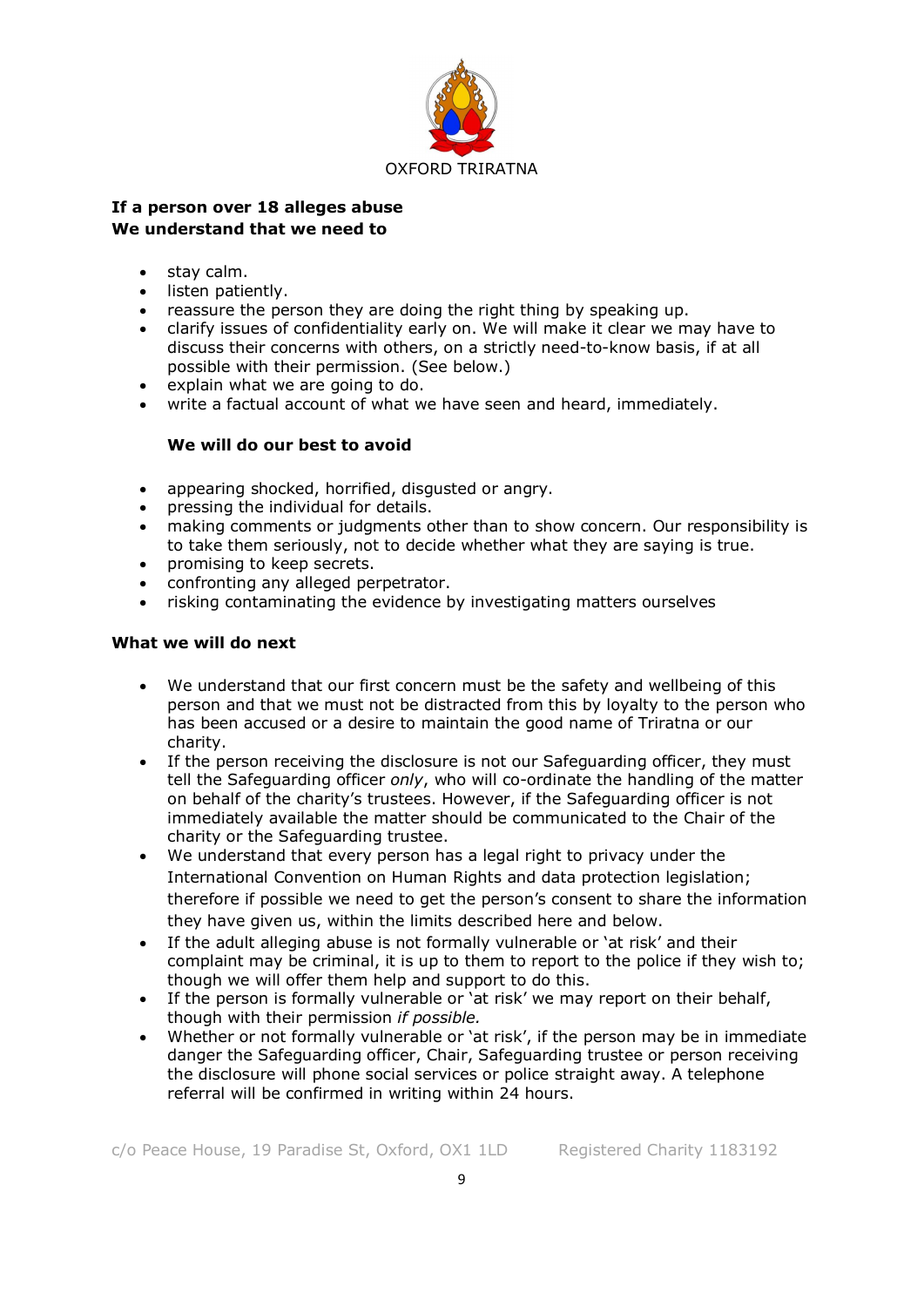

## **If a person over 18 alleges abuse We understand that we need to**

- stay calm.
- listen patiently.
- reassure the person they are doing the right thing by speaking up.
- clarify issues of confidentiality early on. We will make it clear we may have to discuss their concerns with others, on a strictly need-to-know basis, if at all possible with their permission. (See below.)
- explain what we are going to do.
- write a factual account of what we have seen and heard, immediately.

## **We will do our best to avoid**

- appearing shocked, horrified, disgusted or angry.
- pressing the individual for details.
- making comments or judgments other than to show concern. Our responsibility is to take them seriously, not to decide whether what they are saying is true.
- promising to keep secrets.
- confronting any alleged perpetrator.
- risking contaminating the evidence by investigating matters ourselves

## **What we will do next**

- We understand that our first concern must be the safety and wellbeing of this person and that we must not be distracted from this by loyalty to the person who has been accused or a desire to maintain the good name of Triratna or our charity.
- If the person receiving the disclosure is not our Safeguarding officer, they must tell the Safeguarding officer *only*, who will co-ordinate the handling of the matter on behalf of the charity's trustees. However, if the Safeguarding officer is not immediately available the matter should be communicated to the Chair of the charity or the Safeguarding trustee.
- We understand that every person has a legal right to privacy under the International Convention on Human Rights and data protection legislation; therefore if possible we need to get the person's consent to share the information they have given us, within the limits described here and below.
- If the adult alleging abuse is not formally vulnerable or 'at risk' and their complaint may be criminal, it is up to them to report to the police if they wish to; though we will offer them help and support to do this.
- If the person is formally vulnerable or 'at risk' we may report on their behalf, though with their permission *if possible.*
- Whether or not formally vulnerable or 'at risk', if the person may be in immediate danger the Safeguarding officer, Chair, Safeguarding trustee or person receiving the disclosure will phone social services or police straight away. A telephone referral will be confirmed in writing within 24 hours.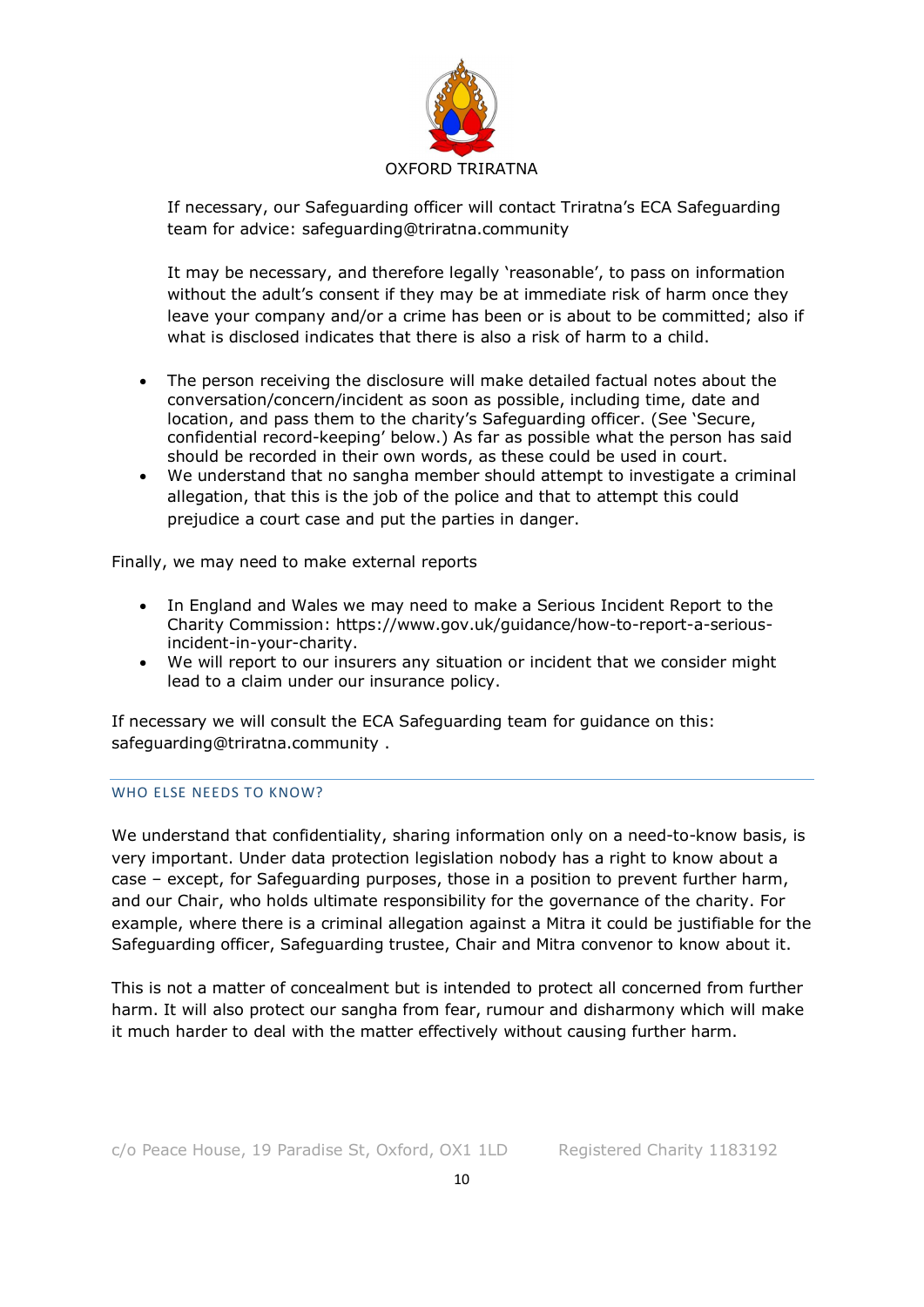

If necessary, our Safeguarding officer will contact Triratna's ECA Safeguarding team for advice: safeguarding@triratna.community

It may be necessary, and therefore legally 'reasonable', to pass on information without the adult's consent if they may be at immediate risk of harm once they leave your company and/or a crime has been or is about to be committed; also if what is disclosed indicates that there is also a risk of harm to a child.

- The person receiving the disclosure will make detailed factual notes about the conversation/concern/incident as soon as possible, including time, date and location, and pass them to the charity's Safeguarding officer. (See 'Secure, confidential record-keeping' below.) As far as possible what the person has said should be recorded in their own words, as these could be used in court.
- We understand that no sangha member should attempt to investigate a criminal allegation, that this is the job of the police and that to attempt this could prejudice a court case and put the parties in danger.

Finally, we may need to make external reports

- In England and Wales we may need to make a Serious Incident Report to the Charity Commission: https://www.gov.uk/guidance/how-to-report-a-seriousincident-in-your-charity.
- We will report to our insurers any situation or incident that we consider might lead to a claim under our insurance policy.

If necessary we will consult the ECA Safeguarding team for guidance on this: safeguarding@triratna.community .

## WHO FLSE NEEDS TO KNOW?

We understand that confidentiality, sharing information only on a need-to-know basis, is very important. Under data protection legislation nobody has a right to know about a case – except, for Safeguarding purposes, those in a position to prevent further harm, and our Chair, who holds ultimate responsibility for the governance of the charity. For example, where there is a criminal allegation against a Mitra it could be justifiable for the Safeguarding officer, Safeguarding trustee, Chair and Mitra convenor to know about it.

This is not a matter of concealment but is intended to protect all concerned from further harm. It will also protect our sangha from fear, rumour and disharmony which will make it much harder to deal with the matter effectively without causing further harm.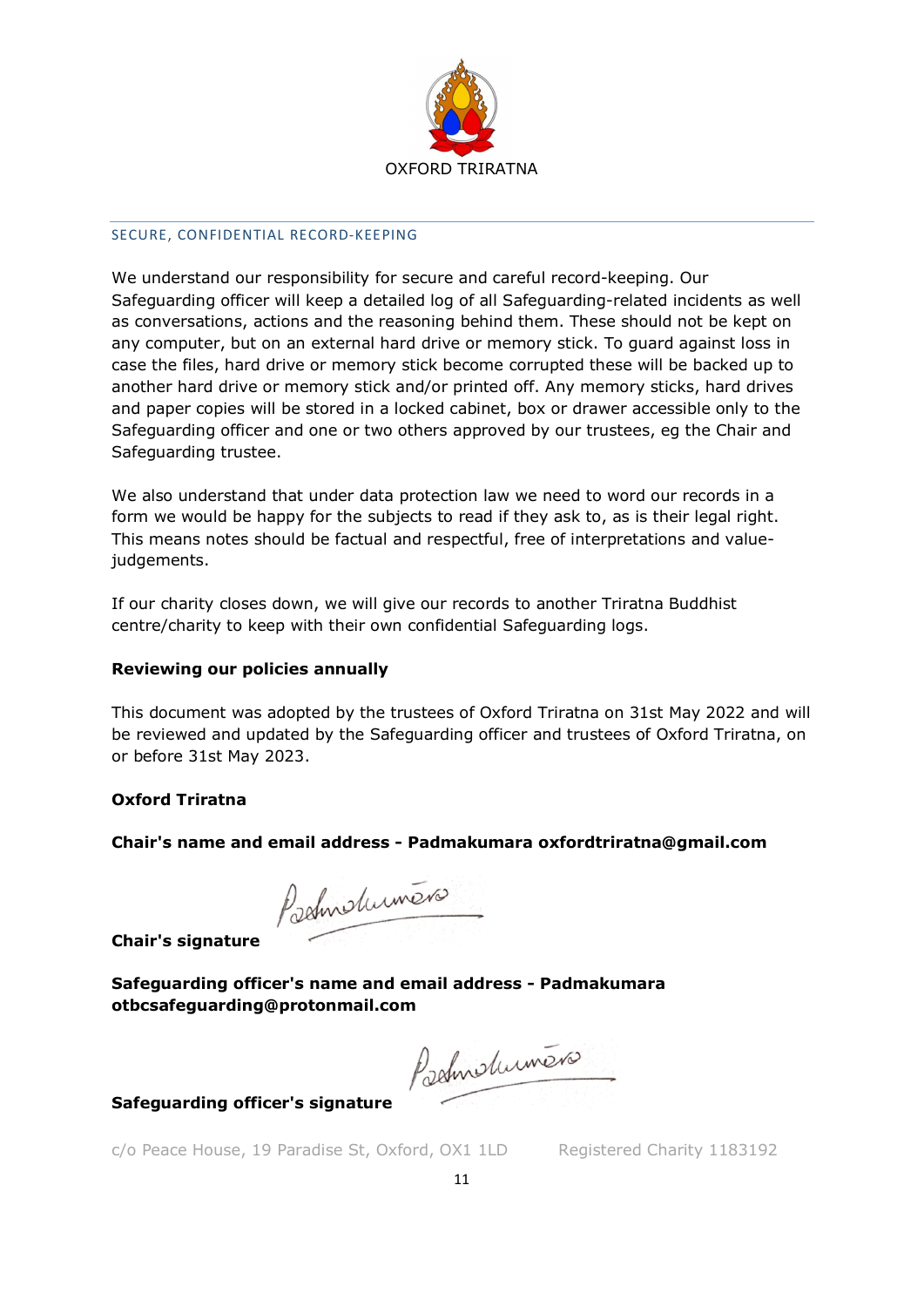

## SECURE, CONFIDENTIAL RECORD-KEEPING

We understand our responsibility for secure and careful record-keeping. Our Safeguarding officer will keep a detailed log of all Safeguarding-related incidents as well as conversations, actions and the reasoning behind them. These should not be kept on any computer, but on an external hard drive or memory stick. To guard against loss in case the files, hard drive or memory stick become corrupted these will be backed up to another hard drive or memory stick and/or printed off. Any memory sticks, hard drives and paper copies will be stored in a locked cabinet, box or drawer accessible only to the Safeguarding officer and one or two others approved by our trustees, eg the Chair and Safeguarding trustee.

We also understand that under data protection law we need to word our records in a form we would be happy for the subjects to read if they ask to, as is their legal right. This means notes should be factual and respectful, free of interpretations and valuejudgements.

If our charity closes down, we will give our records to another Triratna Buddhist centre/charity to keep with their own confidential Safeguarding logs.

# **Reviewing our policies annually**

This document was adopted by the trustees of Oxford Triratna on 31st May 2022 and will be reviewed and updated by the Safeguarding officer and trustees of Oxford Triratna, on or before 31st May 2023.

# **Oxford Triratna**

**Chair's name and email address - Padmakumara oxfordtriratna@gmail.com** 

Padmidument

**Chair's signature** 

**Safeguarding officer's name and email address - Padmakumara otbcsafeguarding@protonmail.com** 

Padmidument

**Safeguarding officer's signature**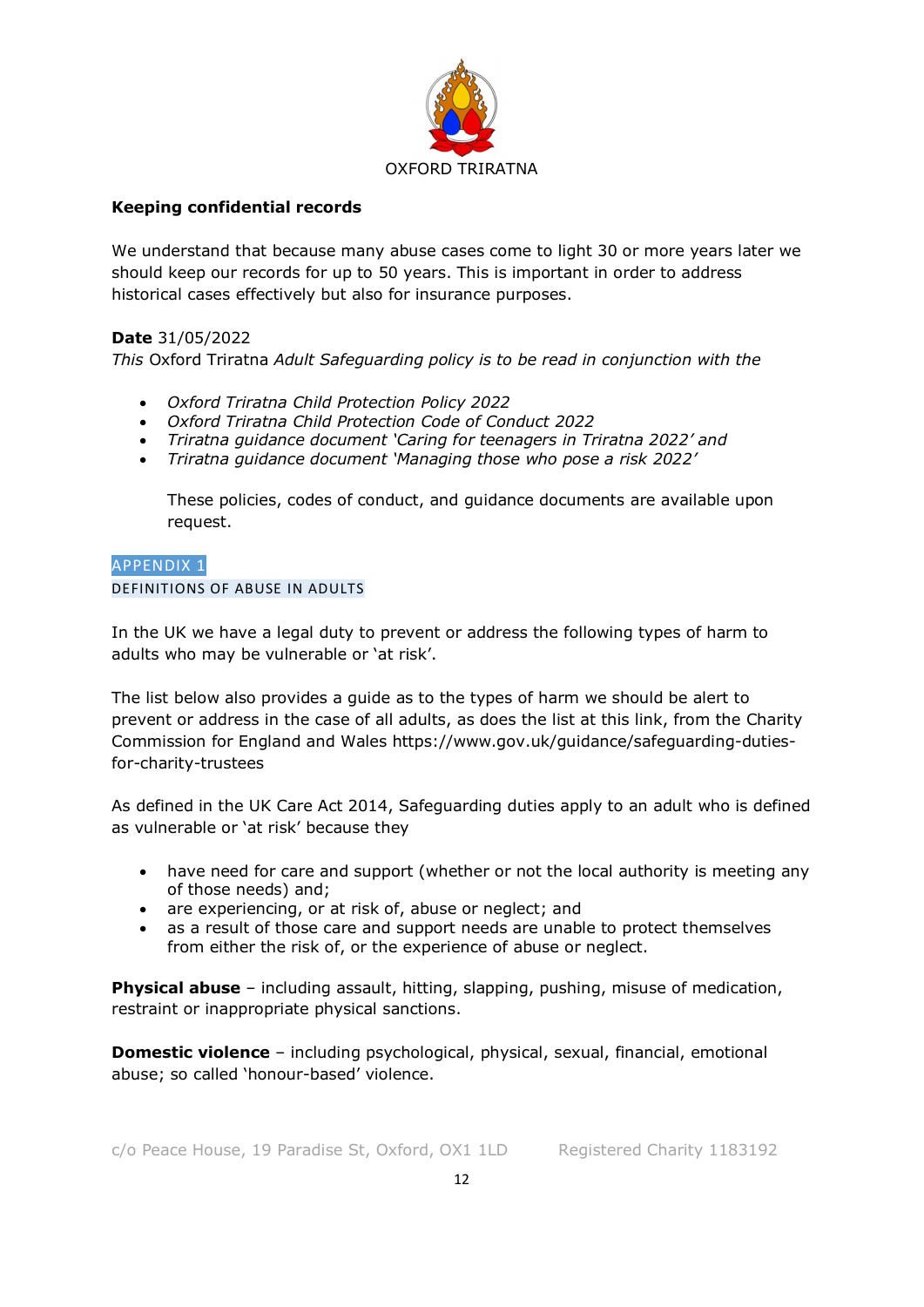

# **Keeping confidential records**

We understand that because many abuse cases come to light 30 or more years later we should keep our records for up to 50 years. This is important in order to address historical cases effectively but also for insurance purposes.

# **Date** 31/05/2022

*This* Oxford Triratna *Adult Safeguarding policy is to be read in conjunction with the* 

- *Oxford Triratna Child Protection Policy 2022*
- *Oxford Triratna Child Protection Code of Conduct 2022*
- *Triratna guidance document 'Caring for teenagers in Triratna 2022' and*
- *Triratna guidance document 'Managing those who pose a risk 2022'*

These policies, codes of conduct, and guidance documents are available upon request.

## APPENDIX 1 DEFINITIONS OF ABUSE IN ADULTS

In the UK we have a legal duty to prevent or address the following types of harm to adults who may be vulnerable or 'at risk'.

The list below also provides a guide as to the types of harm we should be alert to prevent or address in the case of all adults, as does the list at this link, from the Charity Commission for England and Wales https://www.gov.uk/guidance/safeguarding-dutiesfor-charity-trustees

As defined in the UK Care Act 2014, Safeguarding duties apply to an adult who is defined as vulnerable or 'at risk' because they

- have need for care and support (whether or not the local authority is meeting any of those needs) and;
- are experiencing, or at risk of, abuse or neglect; and
- as a result of those care and support needs are unable to protect themselves from either the risk of, or the experience of abuse or neglect.

**Physical abuse** – including assault, hitting, slapping, pushing, misuse of medication, restraint or inappropriate physical sanctions.

**Domestic violence** – including psychological, physical, sexual, financial, emotional abuse; so called 'honour-based' violence.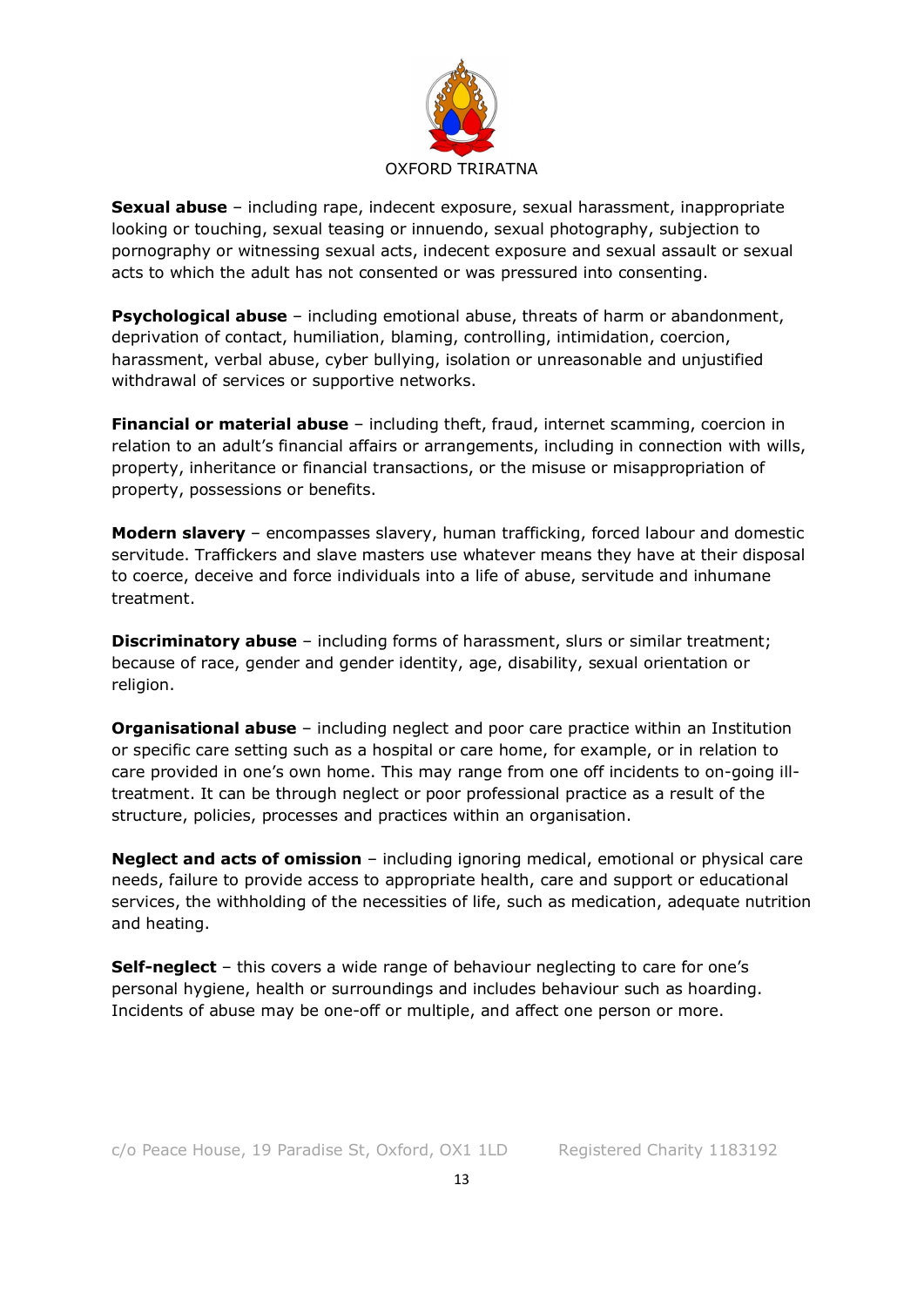

**Sexual abuse** – including rape, indecent exposure, sexual harassment, inappropriate looking or touching, sexual teasing or innuendo, sexual photography, subjection to pornography or witnessing sexual acts, indecent exposure and sexual assault or sexual acts to which the adult has not consented or was pressured into consenting.

**Psychological abuse** – including emotional abuse, threats of harm or abandonment, deprivation of contact, humiliation, blaming, controlling, intimidation, coercion, harassment, verbal abuse, cyber bullying, isolation or unreasonable and unjustified withdrawal of services or supportive networks.

**Financial or material abuse** – including theft, fraud, internet scamming, coercion in relation to an adult's financial affairs or arrangements, including in connection with wills, property, inheritance or financial transactions, or the misuse or misappropriation of property, possessions or benefits.

**Modern slavery** – encompasses slavery, human trafficking, forced labour and domestic servitude. Traffickers and slave masters use whatever means they have at their disposal to coerce, deceive and force individuals into a life of abuse, servitude and inhumane treatment.

**Discriminatory abuse** – including forms of harassment, slurs or similar treatment; because of race, gender and gender identity, age, disability, sexual orientation or religion.

**Organisational abuse** – including neglect and poor care practice within an Institution or specific care setting such as a hospital or care home, for example, or in relation to care provided in one's own home. This may range from one off incidents to on-going illtreatment. It can be through neglect or poor professional practice as a result of the structure, policies, processes and practices within an organisation.

**Neglect and acts of omission** – including ignoring medical, emotional or physical care needs, failure to provide access to appropriate health, care and support or educational services, the withholding of the necessities of life, such as medication, adequate nutrition and heating.

**Self-neglect** – this covers a wide range of behaviour neglecting to care for one's personal hygiene, health or surroundings and includes behaviour such as hoarding. Incidents of abuse may be one-off or multiple, and affect one person or more.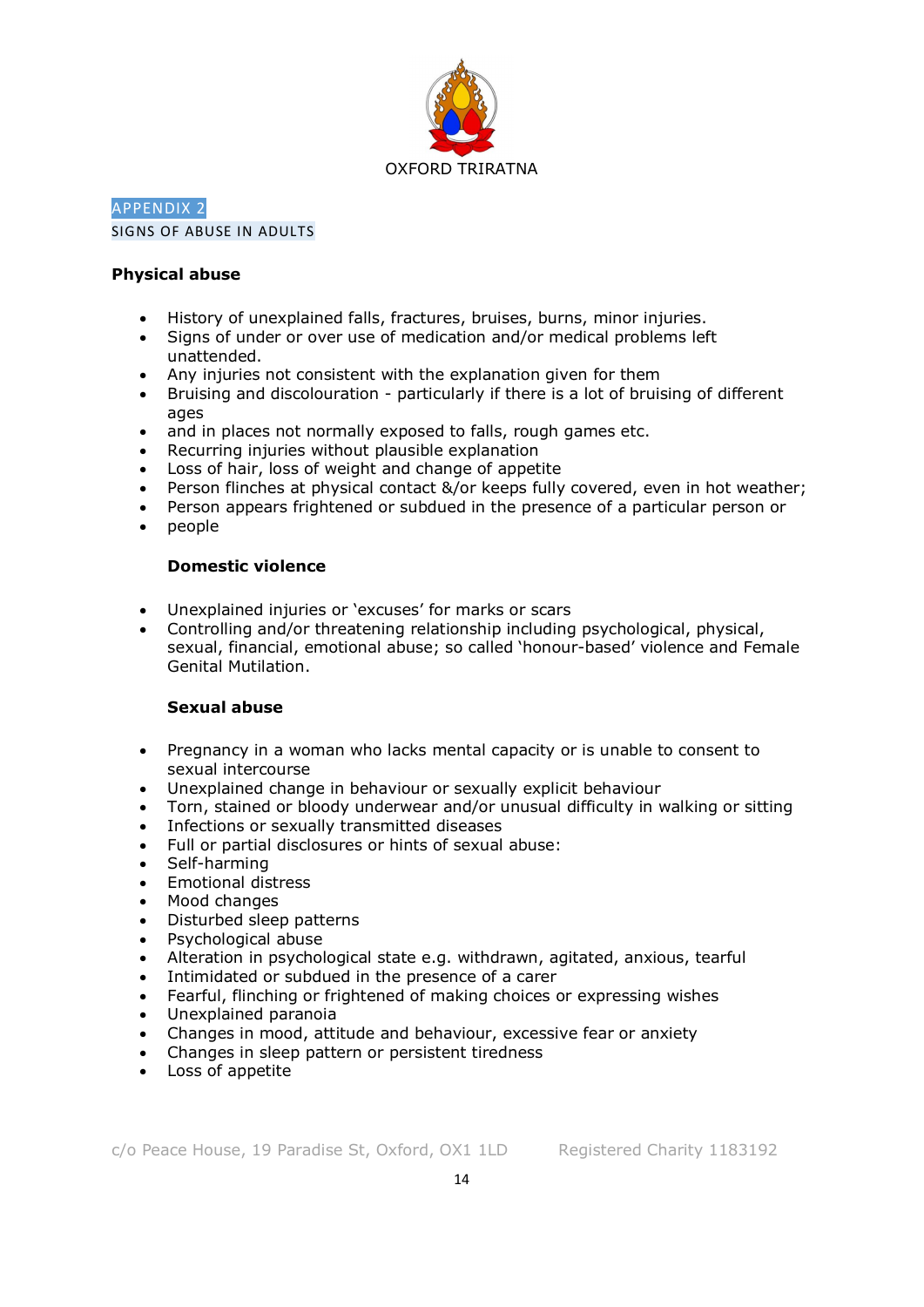

# APPENDIX 2 SIGNS OF ABUSE IN ADULTS

## **Physical abuse**

- History of unexplained falls, fractures, bruises, burns, minor injuries.
- Signs of under or over use of medication and/or medical problems left unattended.
- Any injuries not consistent with the explanation given for them
- Bruising and discolouration particularly if there is a lot of bruising of different ages
- and in places not normally exposed to falls, rough games etc.
- Recurring injuries without plausible explanation
- Loss of hair, loss of weight and change of appetite
- Person flinches at physical contact &/or keeps fully covered, even in hot weather;
- Person appears frightened or subdued in the presence of a particular person or
- people

# **Domestic violence**

- Unexplained injuries or 'excuses' for marks or scars
- Controlling and/or threatening relationship including psychological, physical, sexual, financial, emotional abuse; so called 'honour-based' violence and Female Genital Mutilation.

# **Sexual abuse**

- Pregnancy in a woman who lacks mental capacity or is unable to consent to sexual intercourse
- Unexplained change in behaviour or sexually explicit behaviour
- Torn, stained or bloody underwear and/or unusual difficulty in walking or sitting
- Infections or sexually transmitted diseases
- Full or partial disclosures or hints of sexual abuse:
- Self-harming
- Emotional distress
- Mood changes
- Disturbed sleep patterns
- Psychological abuse
- Alteration in psychological state e.g. withdrawn, agitated, anxious, tearful
- Intimidated or subdued in the presence of a carer
- Fearful, flinching or frightened of making choices or expressing wishes
- Unexplained paranoia
- Changes in mood, attitude and behaviour, excessive fear or anxiety
- Changes in sleep pattern or persistent tiredness
- Loss of appetite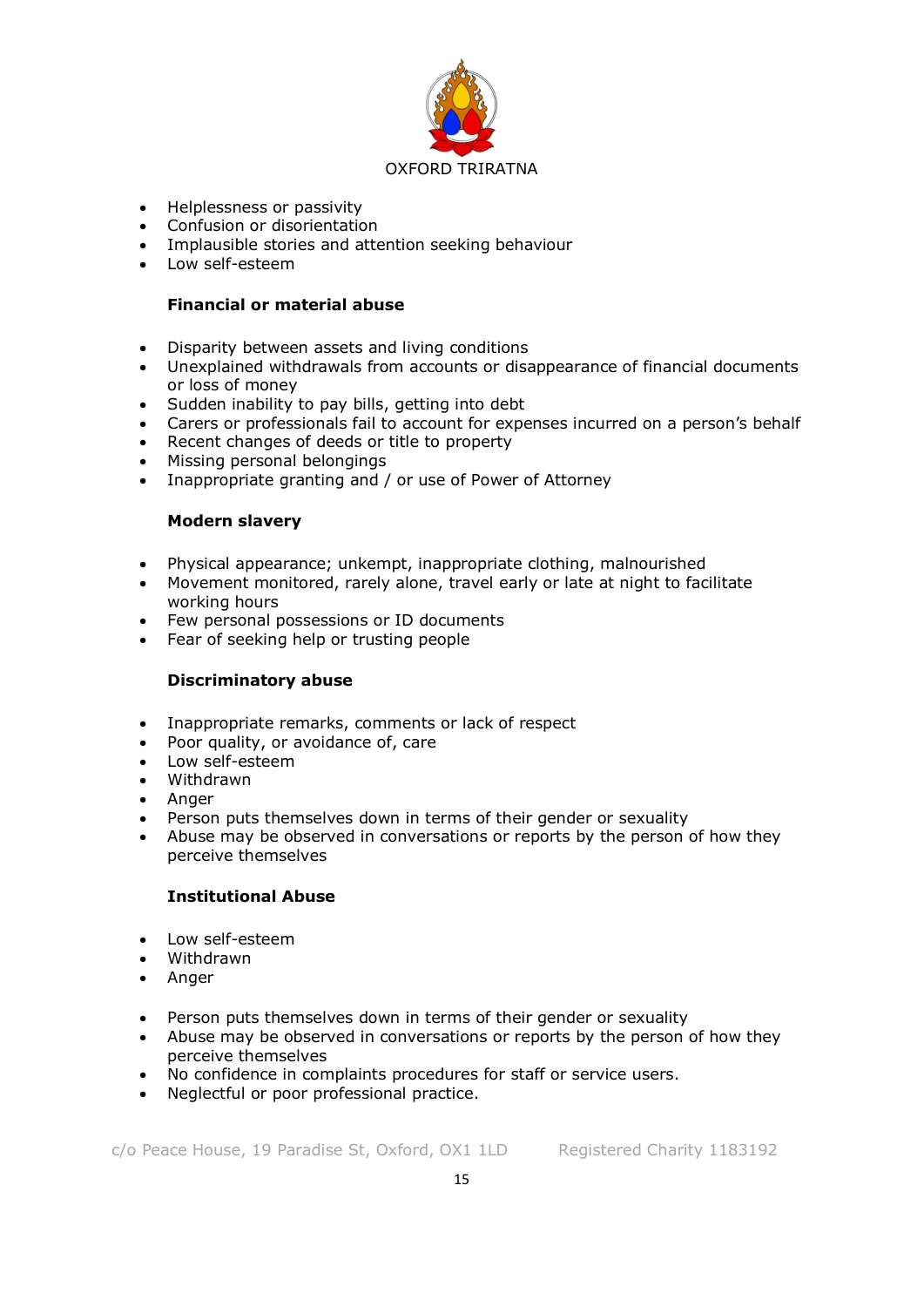

- Helplessness or passivity
- Confusion or disorientation
- Implausible stories and attention seeking behaviour
- Low self-esteem

## **Financial or material abuse**

- Disparity between assets and living conditions
- Unexplained withdrawals from accounts or disappearance of financial documents or loss of money
- Sudden inability to pay bills, getting into debt
- Carers or professionals fail to account for expenses incurred on a person's behalf
- Recent changes of deeds or title to property
- Missing personal belongings
- Inappropriate granting and / or use of Power of Attorney

## **Modern slavery**

- Physical appearance; unkempt, inappropriate clothing, malnourished
- Movement monitored, rarely alone, travel early or late at night to facilitate working hours
- Few personal possessions or ID documents
- Fear of seeking help or trusting people

## **Discriminatory abuse**

- Inappropriate remarks, comments or lack of respect
- Poor quality, or avoidance of, care
- Low self-esteem
- Withdrawn
- Anger
- Person puts themselves down in terms of their gender or sexuality
- Abuse may be observed in conversations or reports by the person of how they perceive themselves

# **Institutional Abuse**

- Low self-esteem
- Withdrawn
- Anger
- Person puts themselves down in terms of their gender or sexuality
- Abuse may be observed in conversations or reports by the person of how they perceive themselves
- No confidence in complaints procedures for staff or service users.
- Neglectful or poor professional practice.